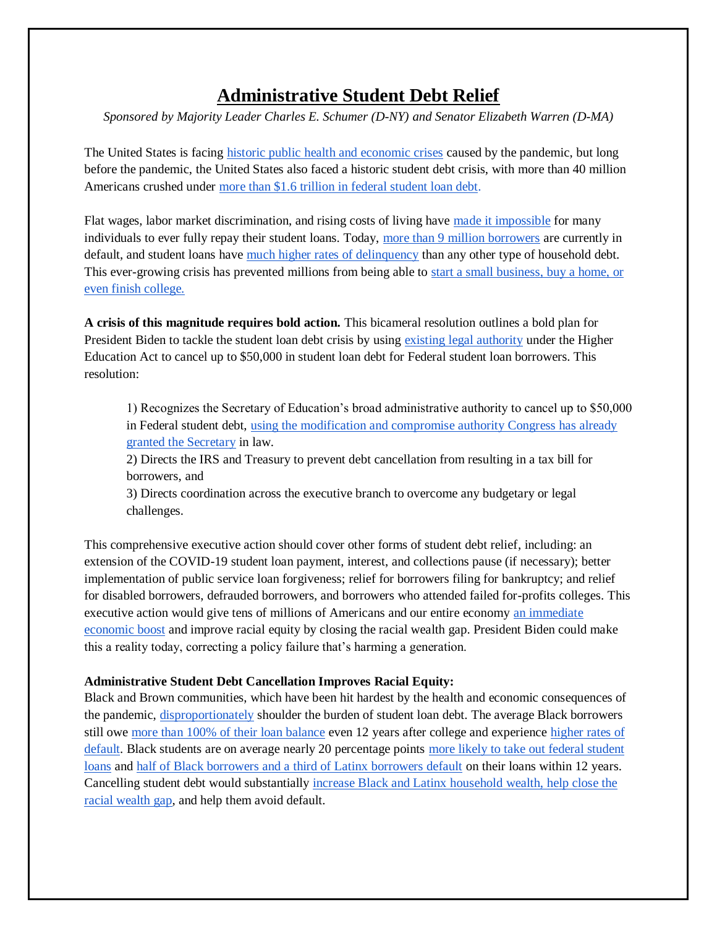## **Administrative Student Debt Relief**

*Sponsored by Majority Leader Charles E. Schumer (D-NY) and Senator Elizabeth Warren (D-MA)*

The United States is facing [historic public health and economic crises](https://www.warren.senate.gov/newsroom/press-releases/schumer-warren-the-next-president-can-and-should-cancel-up-to-50000-in-student-loan-debt-immediately-democrats-outline-plan-for-immediate-action-in-2021) caused by the pandemic, but long before the pandemic, the United States also faced a historic student debt crisis, with more than 40 million Americans crushed under [more than \\$1.6 trillion in federal student loan debt.](https://rooseveltinstitute.org/wp-content/uploads/2020/08/RI_StudentDebtForgiveness_WorkingPaper_202008.pdf)

Flat wages, labor market discrimination, and rising costs of living have [made it impossible](https://www.dataforprogress.org/blog/2020/9/17/the-president-doesnt-need-congress-to-cancel-student-loan-debt-democrats-will-push-for-action-in-2021) for many individuals to ever fully repay their student loans. Today, [more than 9 million borrowers](https://www.dataforprogress.org/blog/2020/9/17/the-president-doesnt-need-congress-to-cancel-student-loan-debt-democrats-will-push-for-action-in-2021) are currently in default, and student loans have [much higher rates of delinquency](https://www.newyorkfed.org/medialibrary/interactives/householdcredit/data/pdf/HHDC_2019Q4.pdf) than any other type of household debt. This ever-growing crisis has prevented millions from being able to [start a small business, buy a home, or](https://www.dataforprogress.org/blog/2020/9/17/the-president-doesnt-need-congress-to-cancel-student-loan-debt-democrats-will-push-for-action-in-2021)  [even finish college.](https://www.dataforprogress.org/blog/2020/9/17/the-president-doesnt-need-congress-to-cancel-student-loan-debt-democrats-will-push-for-action-in-2021)

**A crisis of this magnitude requires bold action.** This bicameral resolution outlines a bold plan for President Biden to tackle the student loan debt crisis by using [existing legal authority](https://www.warren.senate.gov/imo/media/doc/Ltr%20to%20Warren%20re%20admin%20debt%20cancellation.pdf) under the Higher Education Act to cancel up to \$50,000 in student loan debt for Federal student loan borrowers. This resolution:

1) Recognizes the Secretary of Education's broad administrative authority to cancel up to \$50,000 in Federal student debt, [using the modification and compromise authority Congress has already](https://www.warren.senate.gov/imo/media/doc/Ltr%20to%20Warren%20re%20admin%20debt%20cancellation.pdf)  [granted the Secretary](https://www.warren.senate.gov/imo/media/doc/Ltr%20to%20Warren%20re%20admin%20debt%20cancellation.pdf) in law.

2) Directs the IRS and Treasury to prevent debt cancellation from resulting in a tax bill for borrowers, and

3) Directs coordination across the executive branch to overcome any budgetary or legal challenges.

This comprehensive executive action should cover other forms of student debt relief, including: an extension of the COVID-19 student loan payment, interest, and collections pause (if necessary); better implementation of public service loan forgiveness; relief for borrowers filing for bankruptcy; and relief for disabled borrowers, defrauded borrowers, and borrowers who attended failed for-profits colleges. This executive action would give tens of millions of Americans and our entire economy an [immediate](https://www.warren.senate.gov/imo/media/doc/Experts-Letter-to-Senator-Warren-.pdf)  [economic boost](https://www.warren.senate.gov/imo/media/doc/Experts-Letter-to-Senator-Warren-.pdf) and improve racial equity by closing the racial wealth gap. President Biden could make this a reality today, correcting a policy failure that's harming a generation.

## **Administrative Student Debt Cancellation Improves Racial Equity:**

Black and Brown communities, which have been hit hardest by the health and economic consequences of the pandemic, [disproportionately](https://www.thenation.com/article/archive/debt-is-holding-black-americans-hostage/) shoulder the burden of student loan debt. The average Black borrowers still owe [more than 100% of](https://www.americanprogress.org/issues/education-postsecondary/news/2017/10/16/440711/new-federal-data-show-student-loan-crisis-african-american-borrowers/) their loan balance even 12 years after college and experience [higher rates of](https://www.demos.org/sites/default/files/2019-06/Debt%20to%20Society.pdf)  [default.](https://www.demos.org/sites/default/files/2019-06/Debt%20to%20Society.pdf) Black students are on average nearly 20 percentage points [more likely to take out federal student](http://www.demos.org/sites/default/files/publications/Mark-Debt%20divide%20Final%20(SF).pdf)  [loans](http://www.demos.org/sites/default/files/publications/Mark-Debt%20divide%20Final%20(SF).pdf) and [half of Black borrowers and a third of Latinx borrowers default](https://heller.brandeis.edu/iasp/pdfs/racial-wealth-equity/racial-wealth-gap/stallingdreams-how-student-debt-is-disrupting-lifechances.pdf) on their loans within 12 years. Cancelling student debt would substantially [increase Black and Latinx household wealth, help close the](http://ct.symplicity.com/t/wrn/79a639354a740a81678ce3a5e02dd045/3769411739/realurl=https:/rooseveltinstitute.org/wp-content/uploads/2020/08/RI_StudentDebtForgiveness_WorkingPaper_202008.pdf)  [racial wealth gap,](http://ct.symplicity.com/t/wrn/79a639354a740a81678ce3a5e02dd045/3769411739/realurl=https:/rooseveltinstitute.org/wp-content/uploads/2020/08/RI_StudentDebtForgiveness_WorkingPaper_202008.pdf) and help them avoid default.